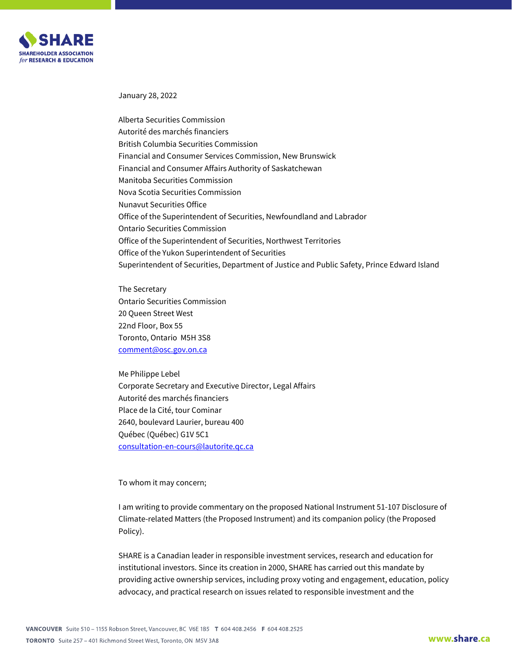

January 28, 2022

Alberta Securities Commission Autorité des marchés financiers British Columbia Securities Commission Financial and Consumer Services Commission, New Brunswick Financial and Consumer Affairs Authority of Saskatchewan Manitoba Securities Commission Nova Scotia Securities Commission Nunavut Securities Office Office of the Superintendent of Securities, Newfoundland and Labrador Ontario Securities Commission Office of the Superintendent of Securities, Northwest Territories Office of the Yukon Superintendent of Securities Superintendent of Securities, Department of Justice and Public Safety, Prince Edward Island

The Secretary Ontario Securities Commission 20 Queen Street West 22nd Floor, Box 55 Toronto, Ontario M5H 3S8 [comment@osc.gov.on.ca](mailto:comment@osc.gov.on.ca) 

Me Philippe Lebel Corporate Secretary and Executive Director, Legal Affairs Autorité des marchés financiers Place de la Cité, tour Cominar 2640, boulevard Laurier, bureau 400 Québec (Québec) G1V 5C1 [consultation-en-cours@lautorite.qc.ca](mailto:consultation-en-cours@lautorite.qc.ca)

To whom it may concern;

I am writing to provide commentary on the proposed National Instrument 51-107 Disclosure of Climate-related Matters (the Proposed Instrument) and its companion policy (the Proposed Policy).

SHARE is a Canadian leader in responsible investment services, research and education for institutional investors. Since its creation in 2000, SHARE has carried out this mandate by providing active ownership services, including proxy voting and engagement, education, policy advocacy, and practical research on issues related to responsible investment and the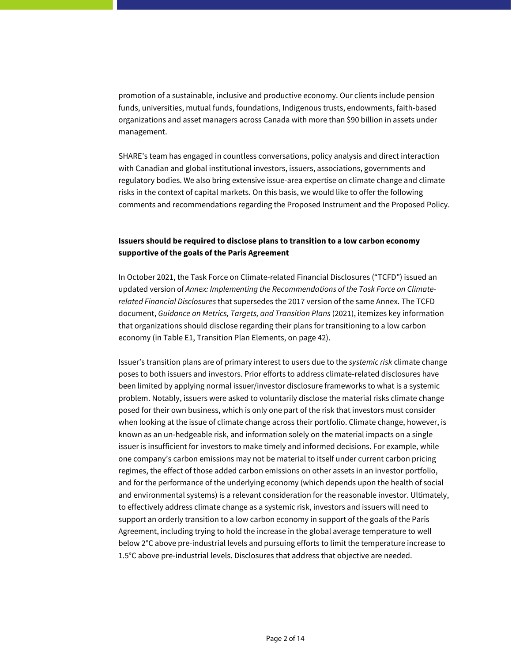promotion of a sustainable, inclusive and productive economy. Our clients include pension funds, universities, mutual funds, foundations, Indigenous trusts, endowments, faith-based organizations and asset managers across Canada with more than \$90 billion in assets under management.

SHARE's team has engaged in countless conversations, policy analysis and direct interaction with Canadian and global institutional investors, issuers, associations, governments and regulatory bodies. We also bring extensive issue-area expertise on climate change and climate risks in the context of capital markets. On this basis, we would like to offer the following comments and recommendations regarding the Proposed Instrument and the Proposed Policy.

## **Issuers should be required to disclose plans to transition to a low carbon economy supportive of the goals of the Paris Agreement**

In October 2021, the Task Force on Climate-related Financial Disclosures ("TCFD") issued an updated version of *Annex: Implementing the Recommendations of the Task Force on Climaterelated Financial Disclosures* that supersedes the 2017 version of the same Annex. The TCFD document, *Guidance on Metrics, Targets, and Transition Plans* (2021), itemizes key information that organizations should disclose regarding their plans for transitioning to a low carbon economy (in Table E1, Transition Plan Elements, on page 42).

Issuer's transition plans are of primary interest to users due to the *systemic risk* climate change poses to both issuers and investors. Prior efforts to address climate-related disclosures have been limited by applying normal issuer/investor disclosure frameworks to what is a systemic problem. Notably, issuers were asked to voluntarily disclose the material risks climate change posed for their own business, which is only one part of the risk that investors must consider when looking at the issue of climate change across their portfolio. Climate change, however, is known as an un-hedgeable risk, and information solely on the material impacts on a single issuer is insufficient for investors to make timely and informed decisions. For example, while one company's carbon emissions may not be material to itself under current carbon pricing regimes, the effect of those added carbon emissions on other assets in an investor portfolio, and for the performance of the underlying economy (which depends upon the health of social and environmental systems) is a relevant consideration for the reasonable investor. Ultimately, to effectively address climate change as a systemic risk, investors and issuers will need to support an orderly transition to a low carbon economy in support of the goals of the Paris Agreement, including trying to hold the increase in the global average temperature to well below 2°C above pre-industrial levels and pursuing efforts to limit the temperature increase to 1.5°C above pre-industrial levels. Disclosures that address that objective are needed.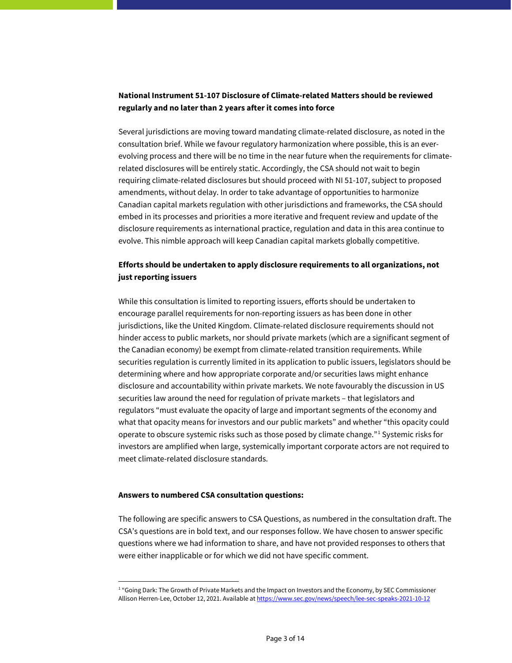## **National Instrument 51-107 Disclosure of Climate-related Matters should be reviewed regularly and no later than 2 years after it comes into force**

Several jurisdictions are moving toward mandating climate-related disclosure, as noted in the consultation brief. While we favour regulatory harmonization where possible, this is an everevolving process and there will be no time in the near future when the requirements for climaterelated disclosures will be entirely static. Accordingly, the CSA should not wait to begin requiring climate-related disclosures but should proceed with NI 51-107, subject to proposed amendments, without delay. In order to take advantage of opportunities to harmonize Canadian capital markets regulation with other jurisdictions and frameworks, the CSA should embed in its processes and priorities a more iterative and frequent review and update of the disclosure requirements as international practice, regulation and data in this area continue to evolve. This nimble approach will keep Canadian capital markets globally competitive.

## **Efforts should be undertaken to apply disclosure requirements to all organizations, not just reporting issuers**

While this consultation is limited to reporting issuers, efforts should be undertaken to encourage parallel requirements for non-reporting issuers as has been done in other jurisdictions, like the United Kingdom. Climate-related disclosure requirements should not hinder access to public markets, nor should private markets (which are a significant segment of the Canadian economy) be exempt from climate-related transition requirements. While securities regulation is currently limited in its application to public issuers, legislators should be determining where and how appropriate corporate and/or securities laws might enhance disclosure and accountability within private markets. We note favourably the discussion in US securities law around the need for regulation of private markets – that legislators and regulators "must evaluate the opacity of large and important segments of the economy and what that opacity means for investors and our public markets" and whether "this opacity could operate to obscure systemic risks such as those posed by climate change."[1](#page-2-0) Systemic risks for investors are amplified when large, systemically important corporate actors are not required to meet climate-related disclosure standards.

### **Answers to numbered CSA consultation questions:**

 $\overline{a}$ 

The following are specific answers to CSA Questions, as numbered in the consultation draft. The CSA's questions are in bold text, and our responses follow. We have chosen to answer specific questions where we had information to share, and have not provided responses to others that were either inapplicable or for which we did not have specific comment.

<span id="page-2-0"></span><sup>&</sup>lt;sup>1</sup> "Going Dark: The Growth of Private Markets and the Impact on Investors and the Economy, by SEC Commissioner Allison Herren-Lee, October 12, 2021. Available a[t https://www.sec.gov/news/speech/lee-sec-speaks-2021-10-12](https://www.sec.gov/news/speech/lee-sec-speaks-2021-10-12)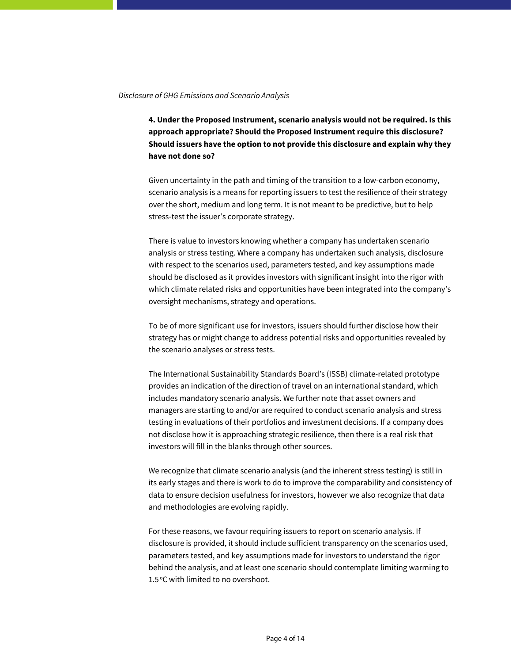### *Disclosure of GHG Emissions and Scenario Analysis*

**4. Under the Proposed Instrument, scenario analysis would not be required. Is this approach appropriate? Should the Proposed Instrument require this disclosure? Should issuers have the option to not provide this disclosure and explain why they have not done so?**

Given uncertainty in the path and timing of the transition to a low-carbon economy, scenario analysis is a means for reporting issuers to test the resilience of their strategy over the short, medium and long term. It is not meant to be predictive, but to help stress-test the issuer's corporate strategy.

There is value to investors knowing whether a company has undertaken scenario analysis or stress testing. Where a company has undertaken such analysis, disclosure with respect to the scenarios used, parameters tested, and key assumptions made should be disclosed as it provides investors with significant insight into the rigor with which climate related risks and opportunities have been integrated into the company's oversight mechanisms, strategy and operations.

To be of more significant use for investors, issuers should further disclose how their strategy has or might change to address potential risks and opportunities revealed by the scenario analyses or stress tests.

The International Sustainability Standards Board's (ISSB) climate-related prototype provides an indication of the direction of travel on an international standard, which includes mandatory scenario analysis. We further note that asset owners and managers are starting to and/or are required to conduct scenario analysis and stress testing in evaluations of their portfolios and investment decisions. If a company does not disclose how it is approaching strategic resilience, then there is a real risk that investors will fill in the blanks through other sources.

We recognize that climate scenario analysis (and the inherent stress testing) is still in its early stages and there is work to do to improve the comparability and consistency of data to ensure decision usefulness for investors, however we also recognize that data and methodologies are evolving rapidly.

For these reasons, we favour requiring issuers to report on scenario analysis. If disclosure is provided, it should include sufficient transparency on the scenarios used, parameters tested, and key assumptions made for investors to understand the rigor behind the analysis, and at least one scenario should contemplate limiting warming to 1.5 °C with limited to no overshoot.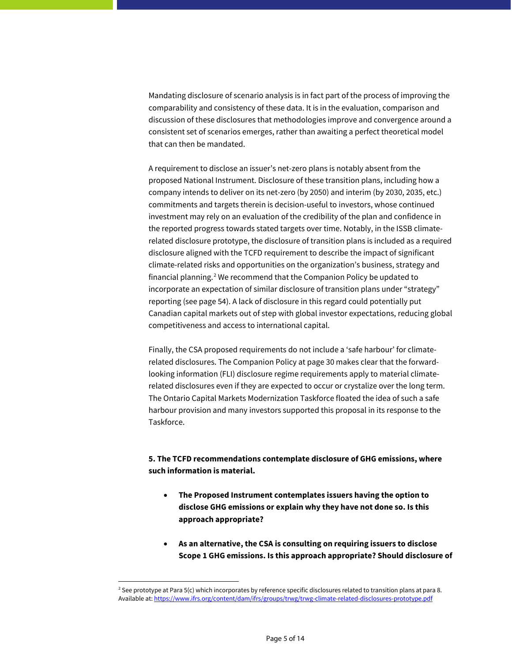Mandating disclosure of scenario analysis is in fact part of the process of improving the comparability and consistency of these data. It is in the evaluation, comparison and discussion of these disclosures that methodologies improve and convergence around a consistent set of scenarios emerges, rather than awaiting a perfect theoretical model that can then be mandated.

A requirement to disclose an issuer's net-zero plans is notably absent from the proposed National Instrument. Disclosure of these transition plans, including how a company intends to deliver on its net-zero (by 2050) and interim (by 2030, 2035, etc.) commitments and targets therein is decision-useful to investors, whose continued investment may rely on an evaluation of the credibility of the plan and confidence in the reported progress towards stated targets over time. Notably, in the ISSB climaterelated disclosure prototype, the disclosure of transition plans is included as a required disclosure aligned with the TCFD requirement to describe the impact of significant climate-related risks and opportunities on the organization's business, strategy and financial planning. [2](#page-4-0) We recommend that the Companion Policy be updated to incorporate an expectation of similar disclosure of transition plans under "strategy" reporting (see page 54). A lack of disclosure in this regard could potentially put Canadian capital markets out of step with global investor expectations, reducing global competitiveness and access to international capital.

Finally, the CSA proposed requirements do not include a 'safe harbour' for climaterelated disclosures. The Companion Policy at page 30 makes clear that the forwardlooking information (FLI) disclosure regime requirements apply to material climaterelated disclosures even if they are expected to occur or crystalize over the long term. The Ontario Capital Markets Modernization Taskforce floated the idea of such a safe harbour provision and many investors supported this proposal in its response to the Taskforce.

# **5. The TCFD recommendations contemplate disclosure of GHG emissions, where such information is material.**

- **The Proposed Instrument contemplates issuers having the option to disclose GHG emissions or explain why they have not done so. Is this approach appropriate?**
- **As an alternative, the CSA is consulting on requiring issuers to disclose Scope 1 GHG emissions. Is this approach appropriate? Should disclosure of**

 $\overline{a}$ 

<span id="page-4-0"></span><sup>&</sup>lt;sup>2</sup> See prototype at Para 5(c) which incorporates by reference specific disclosures related to transition plans at para 8. Available at[: https://www.ifrs.org/content/dam/ifrs/groups/trwg/trwg-climate-related-disclosures-prototype.pdf](https://www.ifrs.org/content/dam/ifrs/groups/trwg/trwg-climate-related-disclosures-prototype.pdf)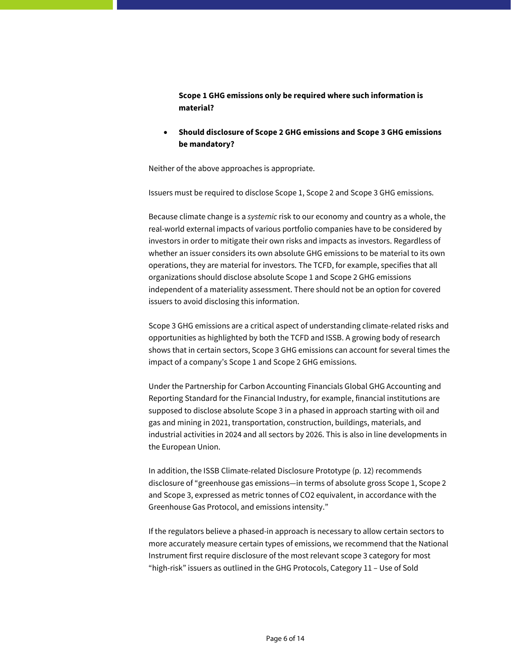**Scope 1 GHG emissions only be required where such information is material?** 

• **Should disclosure of Scope 2 GHG emissions and Scope 3 GHG emissions be mandatory?**

Neither of the above approaches is appropriate.

Issuers must be required to disclose Scope 1, Scope 2 and Scope 3 GHG emissions.

Because climate change is a *systemic* risk to our economy and country as a whole, the real-world external impacts of various portfolio companies have to be considered by investors in order to mitigate their own risks and impacts as investors. Regardless of whether an issuer considers its own absolute GHG emissions to be material to its own operations, they are material for investors. The TCFD, for example, specifies that all organizations should disclose absolute Scope 1 and Scope 2 GHG emissions independent of a materiality assessment. There should not be an option for covered issuers to avoid disclosing this information.

Scope 3 GHG emissions are a critical aspect of understanding climate-related risks and opportunities as highlighted by both the TCFD and ISSB. A growing body of research shows that in certain sectors, Scope 3 GHG emissions can account for several times the impact of a company's Scope 1 and Scope 2 GHG emissions.

Under the Partnership for Carbon Accounting Financials Global GHG Accounting and Reporting Standard for the Financial Industry, for example, financial institutions are supposed to disclose absolute Scope 3 in a phased in approach starting with oil and gas and mining in 2021, transportation, construction, buildings, materials, and industrial activities in 2024 and all sectors by 2026. This is also in line developments in the European Union.

In addition, the ISSB Climate-related Disclosure Prototype (p. 12) recommends disclosure of "greenhouse gas emissions—in terms of absolute gross Scope 1, Scope 2 and Scope 3, expressed as metric tonnes of CO2 equivalent, in accordance with the Greenhouse Gas Protocol, and emissions intensity."

If the regulators believe a phased-in approach is necessary to allow certain sectors to more accurately measure certain types of emissions, we recommend that the National Instrument first require disclosure of the most relevant scope 3 category for most "high-risk" issuers as outlined in the GHG Protocols, Category 11 – Use of Sold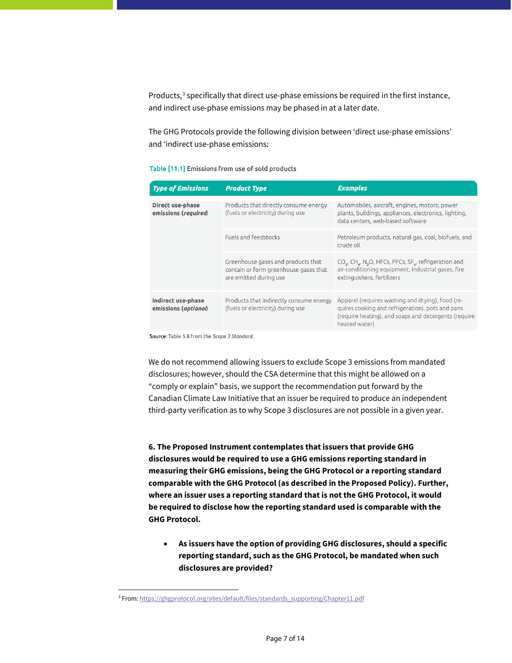Products,<sup>[3](#page-6-0)</sup> specifically that direct use-phase emissions be required in the first instance, and indirect use-phase emissions may be phased in at a later date.

The GHG Protocols provide the following division between 'direct use-phase emissions' and 'indirect use-phase emissions:

### Table [11.1] Emissions from use of sold products

| <b>Type of Emissions</b>                          | <b>Product Type</b>                                                                                   | <b>Examples</b>                                                                                                                                                                           |
|---------------------------------------------------|-------------------------------------------------------------------------------------------------------|-------------------------------------------------------------------------------------------------------------------------------------------------------------------------------------------|
| <b>Direct use-phase</b><br>emissions (required)   | Products that directly consume energy<br>(fuels or electricity) during use                            | Automobiles, aircraft, engines, motors, power<br>plants, buildings, appliances, electronics, lighting,<br>data centers, web-based software                                                |
|                                                   | Fuels and feedstocks                                                                                  | Petroleum products, natural gas, coal, biofuels, and<br>crude oil                                                                                                                         |
|                                                   | Greenhouse gases and products that<br>contain or form greenhouse gases that<br>are emitted during use | CO <sub>2</sub> , CH <sub>4</sub> , N <sub>2</sub> O, HFCs, PFCs, SF <sub>c</sub> , refrigeration and<br>air-conditioning equipment, industrial gases, fire<br>extinguishers, fertilizers |
| <b>Indirect use-phase</b><br>emissions (optional) | Products that indirectly consume energy<br>(fuels or electricity) during use                          | Apparel (requires washing and drying), food (re-<br>quires cooking and refrigeration), pots and pans<br>(require heating), and soaps and detergents (require<br>heated water)             |

Source: Table 5.8 from the Scope 3 Standard.

We do not recommend allowing issuers to exclude Scope 3 emissions from mandated disclosures; however, should the CSA determine that this might be allowed on a "comply or explain" basis, we support the recommendation put forward by the Canadian Climate Law Initiative that an issuer be required to produce an independent third-party verification as to why Scope 3 disclosures are not possible in a given year.

**6. The Proposed Instrument contemplates that issuers that provide GHG disclosures would be required to use a GHG emissions reporting standard in measuring their GHG emissions, being the GHG Protocol or a reporting standard comparable with the GHG Protocol (as described in the Proposed Policy). Further, where an issuer uses a reporting standard that is not the GHG Protocol, it would be required to disclose how the reporting standard used is comparable with the GHG Protocol.**

• **As issuers have the option of providing GHG disclosures, should a specific reporting standard, such as the GHG Protocol, be mandated when such disclosures are provided?**

 $\overline{a}$ 

<span id="page-6-0"></span><sup>&</sup>lt;sup>3</sup> From[: https://ghgprotocol.org/sites/default/files/standards\\_supporting/Chapter11.pdf](https://ghgprotocol.org/sites/default/files/standards_supporting/Chapter11.pdf)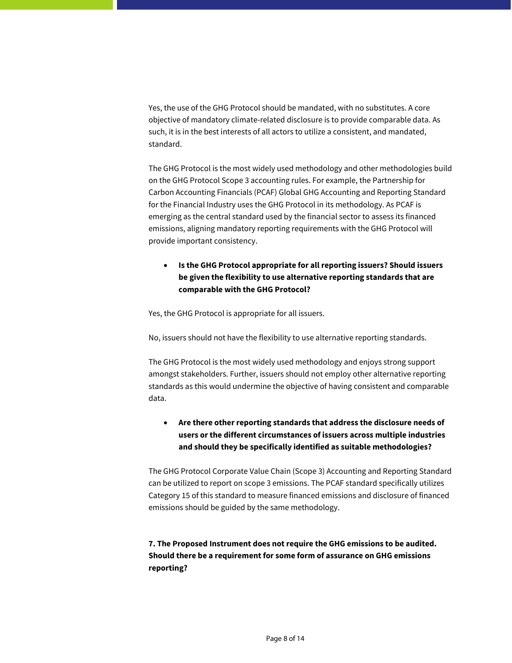Yes, the use of the GHG Protocol should be mandated, with no substitutes. A core objective of mandatory climate-related disclosure is to provide comparable data. As such, it is in the best interests of all actors to utilize a consistent, and mandated, standard.

The GHG Protocol is the most widely used methodology and other methodologies build on the GHG Protocol Scope 3 accounting rules. For example, the Partnership for Carbon Accounting Financials (PCAF) Global GHG Accounting and Reporting Standard for the Financial Industry uses the GHG Protocol in its methodology. As PCAF is emerging as the central standard used by the financial sector to assess its financed emissions, aligning mandatory reporting requirements with the GHG Protocol will provide important consistency.

• **Is the GHG Protocol appropriate for all reporting issuers? Should issuers be given the flexibility to use alternative reporting standards that are comparable with the GHG Protocol?**

Yes, the GHG Protocol is appropriate for all issuers.

No, issuers should not have the flexibility to use alternative reporting standards.

The GHG Protocol is the most widely used methodology and enjoys strong support amongst stakeholders. Further, issuers should not employ other alternative reporting standards as this would undermine the objective of having consistent and comparable data.

• **Are there other reporting standards that address the disclosure needs of users or the different circumstances of issuers across multiple industries and should they be specifically identified as suitable methodologies?**

The GHG Protocol Corporate Value Chain (Scope 3) Accounting and Reporting Standard can be utilized to report on scope 3 emissions. The PCAF standard specifically utilizes Category 15 of this standard to measure financed emissions and disclosure of financed emissions should be guided by the same methodology.

**7. The Proposed Instrument does not require the GHG emissions to be audited. Should there be a requirement for some form of assurance on GHG emissions reporting?**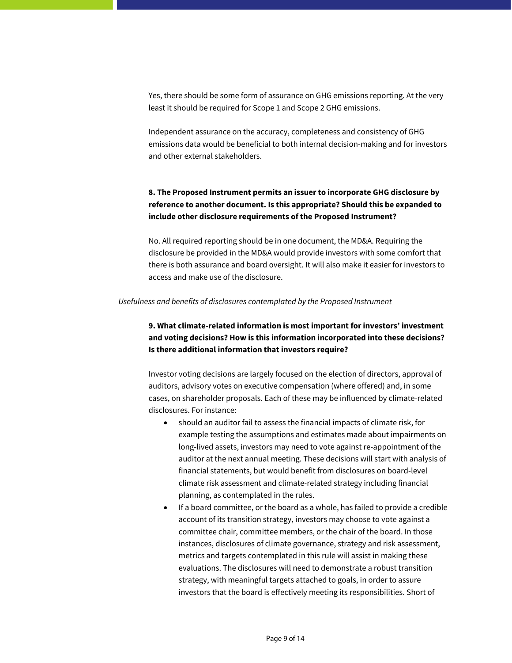Yes, there should be some form of assurance on GHG emissions reporting. At the very least it should be required for Scope 1 and Scope 2 GHG emissions.

Independent assurance on the accuracy, completeness and consistency of GHG emissions data would be beneficial to both internal decision-making and for investors and other external stakeholders.

# **8. The Proposed Instrument permits an issuer to incorporate GHG disclosure by reference to another document. Is this appropriate? Should this be expanded to include other disclosure requirements of the Proposed Instrument?**

No. All required reporting should be in one document, the MD&A. Requiring the disclosure be provided in the MD&A would provide investors with some comfort that there is both assurance and board oversight. It will also make it easier for investors to access and make use of the disclosure.

## *Usefulness and benefits of disclosures contemplated by the Proposed Instrument*

# **9. What climate-related information is most important for investors' investment and voting decisions? How is this information incorporated into these decisions? Is there additional information that investors require?**

Investor voting decisions are largely focused on the election of directors, approval of auditors, advisory votes on executive compensation (where offered) and, in some cases, on shareholder proposals. Each of these may be influenced by climate-related disclosures. For instance:

- should an auditor fail to assess the financial impacts of climate risk, for example testing the assumptions and estimates made about impairments on long-lived assets, investors may need to vote against re-appointment of the auditor at the next annual meeting. These decisions will start with analysis of financial statements, but would benefit from disclosures on board-level climate risk assessment and climate-related strategy including financial planning, as contemplated in the rules.
- If a board committee, or the board as a whole, has failed to provide a credible account of its transition strategy, investors may choose to vote against a committee chair, committee members, or the chair of the board. In those instances, disclosures of climate governance, strategy and risk assessment, metrics and targets contemplated in this rule will assist in making these evaluations. The disclosures will need to demonstrate a robust transition strategy, with meaningful targets attached to goals, in order to assure investors that the board is effectively meeting its responsibilities. Short of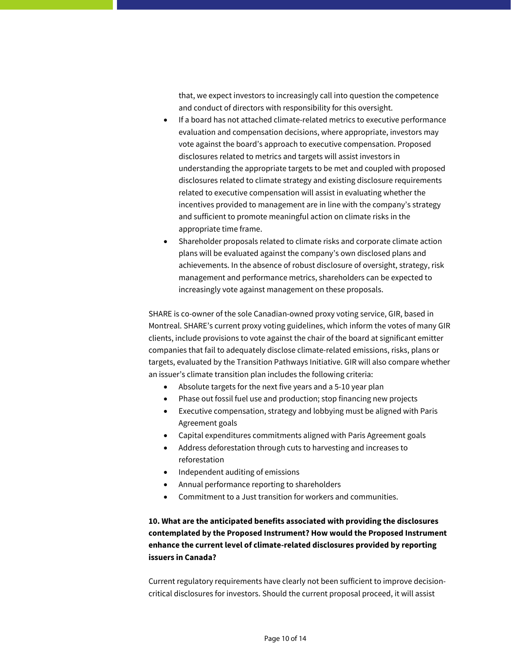that, we expect investors to increasingly call into question the competence and conduct of directors with responsibility for this oversight.

- If a board has not attached climate-related metrics to executive performance evaluation and compensation decisions, where appropriate, investors may vote against the board's approach to executive compensation. Proposed disclosures related to metrics and targets will assist investors in understanding the appropriate targets to be met and coupled with proposed disclosures related to climate strategy and existing disclosure requirements related to executive compensation will assist in evaluating whether the incentives provided to management are in line with the company's strategy and sufficient to promote meaningful action on climate risks in the appropriate time frame.
- Shareholder proposals related to climate risks and corporate climate action plans will be evaluated against the company's own disclosed plans and achievements. In the absence of robust disclosure of oversight, strategy, risk management and performance metrics, shareholders can be expected to increasingly vote against management on these proposals.

SHARE is co-owner of the sole Canadian-owned proxy voting service, GIR, based in Montreal. SHARE's current proxy voting guidelines, which inform the votes of many GIR clients, include provisions to vote against the chair of the board at significant emitter companies that fail to adequately disclose climate-related emissions, risks, plans or targets, evaluated by the Transition Pathways Initiative. GIR will also compare whether an issuer's climate transition plan includes the following criteria:

- Absolute targets for the next five years and a 5-10 year plan
- Phase out fossil fuel use and production; stop financing new projects
- Executive compensation, strategy and lobbying must be aligned with Paris Agreement goals
- Capital expenditures commitments aligned with Paris Agreement goals
- Address deforestation through cuts to harvesting and increases to reforestation
- Independent auditing of emissions
- Annual performance reporting to shareholders
- Commitment to a Just transition for workers and communities.

**10. What are the anticipated benefits associated with providing the disclosures contemplated by the Proposed Instrument? How would the Proposed Instrument enhance the current level of climate-related disclosures provided by reporting issuers in Canada?**

Current regulatory requirements have clearly not been sufficient to improve decisioncritical disclosures for investors. Should the current proposal proceed, it will assist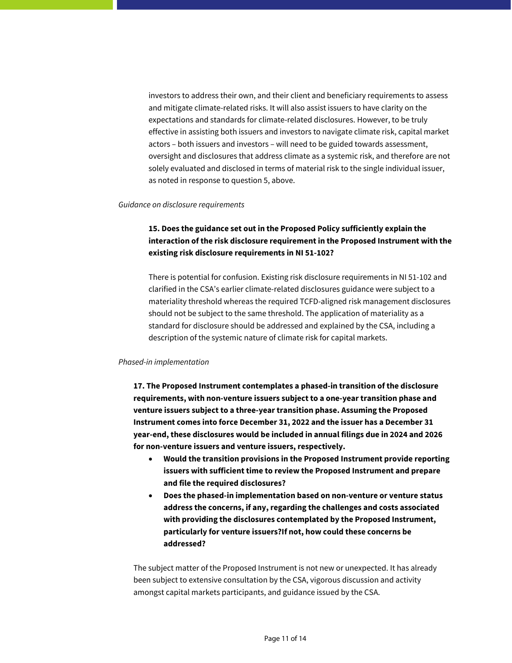investors to address their own, and their client and beneficiary requirements to assess and mitigate climate-related risks. It will also assist issuers to have clarity on the expectations and standards for climate-related disclosures. However, to be truly effective in assisting both issuers and investors to navigate climate risk, capital market actors – both issuers and investors – will need to be guided towards assessment, oversight and disclosures that address climate as a systemic risk, and therefore are not solely evaluated and disclosed in terms of material risk to the single individual issuer, as noted in response to question 5, above.

#### *Guidance on disclosure requirements*

# **15. Does the guidance set out in the Proposed Policy sufficiently explain the interaction of the risk disclosure requirement in the Proposed Instrument with the existing risk disclosure requirements in NI 51-102?**

There is potential for confusion. Existing risk disclosure requirements in NI 51-102 and clarified in the CSA's earlier climate-related disclosures guidance were subject to a materiality threshold whereas the required TCFD-aligned risk management disclosures should not be subject to the same threshold. The application of materiality as a standard for disclosure should be addressed and explained by the CSA, including a description of the systemic nature of climate risk for capital markets.

#### *Phased-in implementation*

**17. The Proposed Instrument contemplates a phased-in transition of the disclosure requirements, with non-venture issuers subject to a one-year transition phase and venture issuers subject to a three-year transition phase. Assuming the Proposed Instrument comes into force December 31, 2022 and the issuer has a December 31 year-end, these disclosures would be included in annual filings due in 2024 and 2026 for non-venture issuers and venture issuers, respectively.**

- **Would the transition provisions in the Proposed Instrument provide reporting issuers with sufficient time to review the Proposed Instrument and prepare and file the required disclosures?**
- **Does the phased-in implementation based on non-venture or venture status address the concerns, if any, regarding the challenges and costs associated with providing the disclosures contemplated by the Proposed Instrument, particularly for venture issuers?If not, how could these concerns be addressed?**

The subject matter of the Proposed Instrument is not new or unexpected. It has already been subject to extensive consultation by the CSA, vigorous discussion and activity amongst capital markets participants, and guidance issued by the CSA.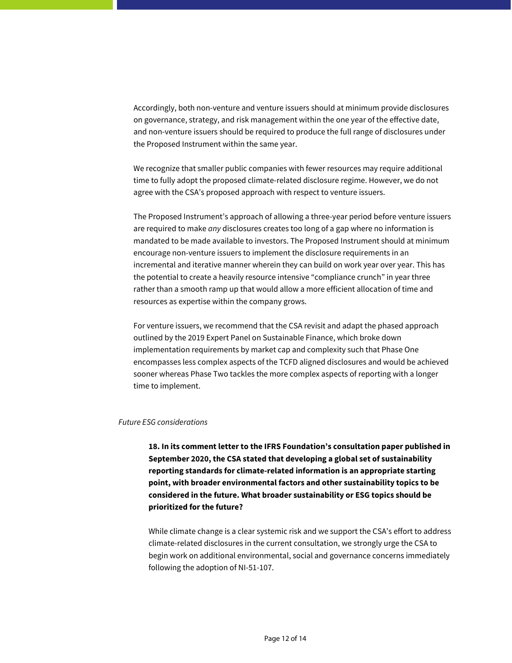Accordingly, both non-venture and venture issuers should at minimum provide disclosures on governance, strategy, and risk management within the one year of the effective date, and non-venture issuers should be required to produce the full range of disclosures under the Proposed Instrument within the same year.

We recognize that smaller public companies with fewer resources may require additional time to fully adopt the proposed climate-related disclosure regime. However, we do not agree with the CSA's proposed approach with respect to venture issuers.

The Proposed Instrument's approach of allowing a three-year period before venture issuers are required to make *any* disclosures creates too long of a gap where no information is mandated to be made available to investors. The Proposed Instrument should at minimum encourage non-venture issuers to implement the disclosure requirements in an incremental and iterative manner wherein they can build on work year over year. This has the potential to create a heavily resource intensive "compliance crunch" in year three rather than a smooth ramp up that would allow a more efficient allocation of time and resources as expertise within the company grows.

For venture issuers, we recommend that the CSA revisit and adapt the phased approach outlined by the 2019 Expert Panel on Sustainable Finance, which broke down implementation requirements by market cap and complexity such that Phase One encompasses less complex aspects of the TCFD aligned disclosures and would be achieved sooner whereas Phase Two tackles the more complex aspects of reporting with a longer time to implement.

#### *Future ESG considerations*

**18. In its comment letter to the IFRS Foundation's consultation paper published in September 2020, the CSA stated that developing a global set of sustainability reporting standards for climate-related information is an appropriate starting point, with broader environmental factors and other sustainability topics to be considered in the future. What broader sustainability or ESG topics should be prioritized for the future?**

While climate change is a clear systemic risk and we support the CSA's effort to address climate-related disclosures in the current consultation, we strongly urge the CSA to begin work on additional environmental, social and governance concerns immediately following the adoption of NI-51-107.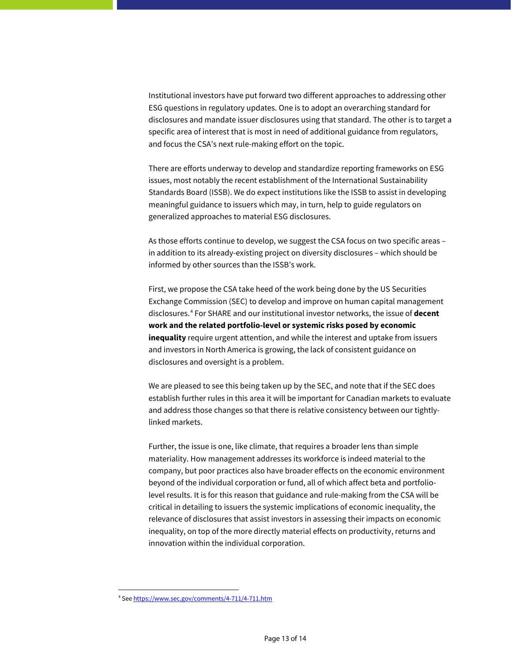Institutional investors have put forward two different approaches to addressing other ESG questions in regulatory updates. One is to adopt an overarching standard for disclosures and mandate issuer disclosures using that standard. The other is to target a specific area of interest that is most in need of additional guidance from regulators, and focus the CSA's next rule-making effort on the topic.

There are efforts underway to develop and standardize reporting frameworks on ESG issues, most notably the recent establishment of the International Sustainability Standards Board (ISSB). We do expect institutions like the ISSB to assist in developing meaningful guidance to issuers which may, in turn, help to guide regulators on generalized approaches to material ESG disclosures.

As those efforts continue to develop, we suggest the CSA focus on two specific areas – in addition to its already-existing project on diversity disclosures – which should be informed by other sources than the ISSB's work.

First, we propose the CSA take heed of the work being done by the US Securities Exchange Commission (SEC) to develop and improve on human capital management disclosures.[4](#page-12-0) For SHARE and our institutional investor networks, the issue of **decent work and the related portfolio-level or systemic risks posed by economic inequality** require urgent attention, and while the interest and uptake from issuers and investors in North America is growing, the lack of consistent guidance on disclosures and oversight is a problem.

We are pleased to see this being taken up by the SEC, and note that if the SEC does establish further rules in this area it will be important for Canadian markets to evaluate and address those changes so that there is relative consistency between our tightlylinked markets.

Further, the issue is one, like climate, that requires a broader lens than simple materiality. How management addresses its workforce is indeed material to the company, but poor practices also have broader effects on the economic environment beyond of the individual corporation or fund, all of which affect beta and portfoliolevel results. It is for this reason that guidance and rule-making from the CSA will be critical in detailing to issuers the systemic implications of economic inequality, the relevance of disclosures that assist investors in assessing their impacts on economic inequality, on top of the more directly material effects on productivity, returns and innovation within the individual corporation.

 $\overline{a}$ 

<span id="page-12-0"></span><sup>4</sup> Se[e https://www.sec.gov/comments/4-711/4-711.htm](https://www.sec.gov/comments/4-711/4-711.htm)